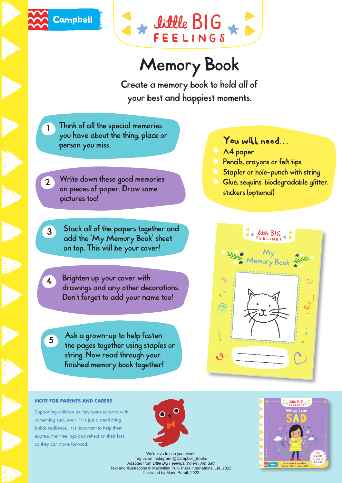



## Memory Book

Create a memory book to hold all of your best and happiest moments.

- Think of all the special memories you have about the thing, place or person you miss. 1
- 2 Write down these good memories on pieces of paper. Draw some pictures too!
- Stack all of the papers together and add the 'My Memory Book' sheet on top. This will be your cover! 3
	- Brighten up your cover with drawings and any other decorations. Don't forget to add your name too!
	- Ask a grown-up to help fasten the pages together using staples or string. Now read through your finished memory book together!

## **You will need. . .**

- A4 paper
- **Pencils, crayons or felt tips**
- **Stapler or hole-punch with string**
- <sup>6</sup> Glue, sequins, biodegradable glitter, stickers (optional)



## **NOTE FOR PARENTS AND CARERS**

4

5

Supporting children as they come to terms with something sad, even if it's just a small thing, builds resilience. It is important to help them express their feelings and reflect on their loss, so they can move forward.